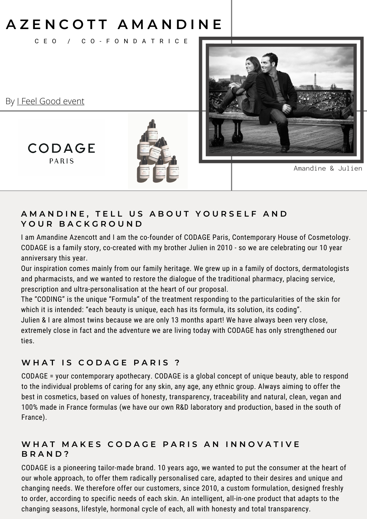# **A Z E N C O T T A M A N D I N E**

C E O / C O - F O N D A T R I C E



By I Feel [Good](https://en.ifeelgood-event.com/) event

**CODAGE** PARIS



Amandine & Julien

### AMANDINE, TELL US ABOUT YOURSELF AND **Y O U R B A C K G R O U N D**

I am Amandine Azencott and I am the co-founder of CODAGE Paris, Contemporary House of Cosmetology. CODAGE is a family story, co-created with my brother Julien in 2010 - so we are celebrating our 10 year anniversary this year.

Our inspiration comes mainly from our family heritage. We grew up in a family of doctors, dermatologists and pharmacists, and we wanted to restore the dialogue of the traditional pharmacy, placing service, prescription and ultra-personalisation at the heart of our proposal.

The "CODING" is the unique "Formula" of the treatment responding to the particularities of the skin for which it is intended: "each beauty is unique, each has its formula, its solution, its coding".

Julien & I are almost twins because we are only 13 months apart! We have always been very close, extremely close in fact and the adventure we are living today with CODAGE has only strengthened our ties.

### **W H A T I S C O D A G E P A R I S ?**

CODAGE = your contemporary apothecary. CODAGE is a global concept of unique beauty, able to respond to the individual problems of caring for any skin, any age, any ethnic group. Always aiming to offer the best in cosmetics, based on values of honesty, transparency, traceability and natural, clean, vegan and 100% made in France formulas (we have our own R&D laboratory and production, based in the south of France).

### WHAT MAKES CODAGE PARIS AN INNOVATIVE **B R A N D ?**

CODAGE is a pioneering tailor-made brand. 10 years ago, we wanted to put the consumer at the heart of our whole approach, to offer them radically personalised care, adapted to their desires and unique and changing needs. We therefore offer our customers, since 2010, a custom formulation, designed freshly to order, according to specific needs of each skin. An intelligent, all-in-one product that adapts to the changing seasons, lifestyle, hormonal cycle of each, all with honesty and total transparency.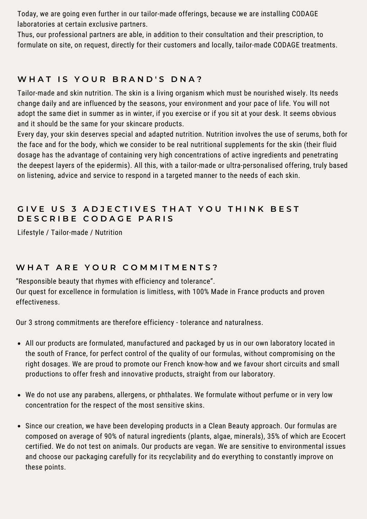Today, we are going even further in our tailor-made offerings, because we are installing CODAGE laboratories at certain exclusive partners.

Thus, our professional partners are able, in addition to their consultation and their prescription, to formulate on site, on request, directly for their customers and locally, tailor-made CODAGE treatments.

## **W H A T I S Y O U R B R A N D ' S D N A ?**

Tailor-made and skin nutrition. The skin is a living organism which must be nourished wisely. Its needs change daily and are influenced by the seasons, your environment and your pace of life. You will not adopt the same diet in summer as in winter, if you exercise or if you sit at your desk. It seems obvious and it should be the same for your skincare products.

Every day, your skin deserves special and adapted nutrition. Nutrition involves the use of serums, both for the face and for the body, which we consider to be real nutritional supplements for the skin (their fluid dosage has the advantage of containing very high concentrations of active ingredients and penetrating the deepest layers of the epidermis). All this, with a tailor-made or ultra-personalised offering, truly based on listening, advice and service to respond in a targeted manner to the needs of each skin.

## GIVE US 3 ADJECTIVES THAT YOU THINK BEST **D E S C R I B E C O D A G E P A R I S**

Lifestyle / Tailor-made / Nutrition

#### **W H A T A R E Y O U R C O M M I T M E N T S ?**

"Responsible beauty that rhymes with efficiency and tolerance". Our quest for excellence in formulation is limitless, with 100% Made in France products and proven effectiveness.

Our 3 strong commitments are therefore efficiency - tolerance and naturalness.

- All our products are formulated, manufactured and packaged by us in our own laboratory located in the south of France, for perfect control of the quality of our formulas, without compromising on the right dosages. We are proud to promote our French know-how and we favour short circuits and small productions to offer fresh and innovative products, straight from our laboratory.
- We do not use any parabens, allergens, or phthalates. We formulate without perfume or in very low concentration for the respect of the most sensitive skins.
- Since our creation, we have been developing products in a Clean Beauty approach. Our formulas are composed on average of 90% of natural ingredients (plants, algae, minerals), 35% of which are Ecocert certified. We do not test on animals. Our products are vegan. We are sensitive to environmental issues and choose our packaging carefully for its recyclability and do everything to constantly improve on these points.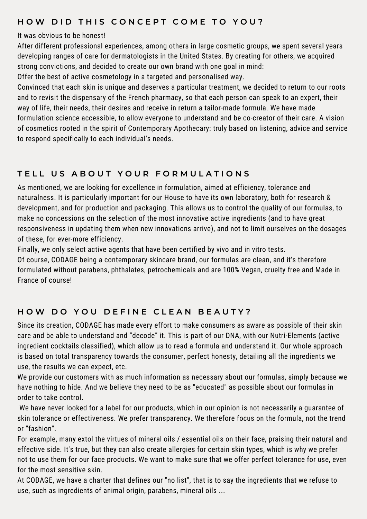#### HOW DID THIS CONCEPT COME TO YOU?

#### It was obvious to be honest!

After different professional experiences, among others in large cosmetic groups, we spent several years developing ranges of care for dermatologists in the United States. By creating for others, we acquired strong convictions, and decided to create our own brand with one goal in mind:

Offer the best of active cosmetology in a targeted and personalised way.

Convinced that each skin is unique and deserves a particular treatment, we decided to return to our roots and to revisit the dispensary of the French pharmacy, so that each person can speak to an expert, their way of life, their needs, their desires and receive in return a tailor-made formula. We have made formulation science accessible, to allow everyone to understand and be co-creator of their care. A vision of cosmetics rooted in the spirit of Contemporary Apothecary: truly based on listening, advice and service to respond specifically to each individual's needs.

### TELL US ABOUT YOUR FORMULATIONS

As mentioned, we are looking for excellence in formulation, aimed at efficiency, tolerance and naturalness. It is particularly important for our House to have its own laboratory, both for research & development, and for production and packaging. This allows us to control the quality of our formulas, to make no concessions on the selection of the most innovative active ingredients (and to have great responsiveness in updating them when new innovations arrive), and not to limit ourselves on the dosages of these, for ever-more efficiency.

Finally, we only select active agents that have been certified by vivo and in vitro tests.

Of course, CODAGE being a contemporary skincare brand, our formulas are clean, and it's therefore formulated without parabens, phthalates, petrochemicals and are 100% Vegan, cruelty free and Made in France of course!

## HOW DO YOU DEFINE CLEAN BEAUTY?

Since its creation, CODAGE has made every effort to make consumers as aware as possible of their skin care and be able to understand and "decode" it. This is part of our DNA, with our Nutri-Elements (active ingredient cocktails classified), which allow us to read a formula and understand it. Our whole approach is based on total transparency towards the consumer, perfect honesty, detailing all the ingredients we use, the results we can expect, etc.

We provide our customers with as much information as necessary about our formulas, simply because we have nothing to hide. And we believe they need to be as "educated" as possible about our formulas in order to take control.

We have never looked for a label for our products, which in our opinion is not necessarily a guarantee of skin tolerance or effectiveness. We prefer transparency. We therefore focus on the formula, not the trend or "fashion".

For example, many extol the virtues of mineral oils / essential oils on their face, praising their natural and effective side. It's true, but they can also create allergies for certain skin types, which is why we prefer not to use them for our face products. We want to make sure that we offer perfect tolerance for use, even for the most sensitive skin.

At CODAGE, we have a charter that defines our "no list", that is to say the ingredients that we refuse to use, such as ingredients of animal origin, parabens, mineral oils ...